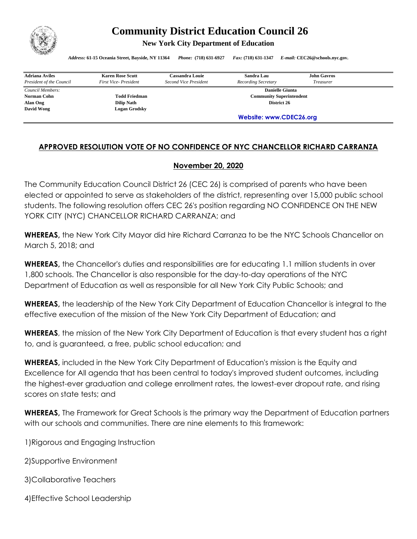

## **Community District Education Council 26**

**New York City Department of Education** 

*Address:* **61-15 Oceania Street, Bayside, NY 11364** *Phone:* **(718) 631-6927** *Fax:* **(718) 631-1347** *E-mail:* **CEC26@schools.nyc.gov.**

| <b>Adriana Aviles</b>    | <b>Karen Rose Scutt</b> | <b>Cassandra Louie</b>          | Sandra Lau          | <b>John Gavros</b> |  |
|--------------------------|-------------------------|---------------------------------|---------------------|--------------------|--|
| President of the Council | First Vice-President    | Second Vice President           | Recording Secretary | <b>Treasurer</b>   |  |
| Council Members:         |                         | <b>Danielle Giunta</b>          |                     |                    |  |
| Norman Cohn              | <b>Todd Friedman</b>    | <b>Community Superintendent</b> |                     |                    |  |
| Alan Ong                 | <b>Dilip Nath</b>       | District 26                     |                     |                    |  |
| David Wong               | Logan Grodsky           |                                 |                     |                    |  |
|                          |                         | Website: www.CDEC26.org         |                     |                    |  |

## **APPROVED RESOLUTION VOTE OF NO CONFIDENCE OF NYC CHANCELLOR RICHARD CARRANZA**

## **November 20, 2020**

The Community Education Council District 26 (CEC 26) is comprised of parents who have been elected or appointed to serve as stakeholders of the district, representing over 15,000 public school students. The following resolution offers CEC 26's position regarding NO CONFIDENCE ON THE NEW YORK CITY (NYC) CHANCELLOR RICHARD CARRANZA; and

**WHEREAS,** the New York City Mayor did hire Richard Carranza to be the NYC Schools Chancellor on March 5, 2018; and

**WHEREAS,** the Chancellor's duties and responsibilities are for educating 1.1 million students in over 1,800 schools. The Chancellor is also responsible for the day-to-day operations of the NYC Department of Education as well as responsible for all New York City Public Schools; and

**WHEREAS,** the leadership of the New York City Department of Education Chancellor is integral to the effective execution of the mission of the New York City Department of Education; and

**WHEREAS**, the mission of the New York City Department of Education is that every student has a right to, and is guaranteed, a free, public school education; and

**WHEREAS,** included in the New York City Department of Education's mission is the Equity and Excellence for All agenda that has been central to today's improved student outcomes, including the highest-ever graduation and college enrollment rates, the lowest-ever dropout rate, and rising scores on state tests; and

**WHEREAS,** The Framework for Great Schools is the primary way the Department of Education partners with our schools and communities. There are nine elements to this framework:

1)Rigorous and Engaging Instruction

2)Supportive Environment

3)Collaborative Teachers

4)Effective School Leadership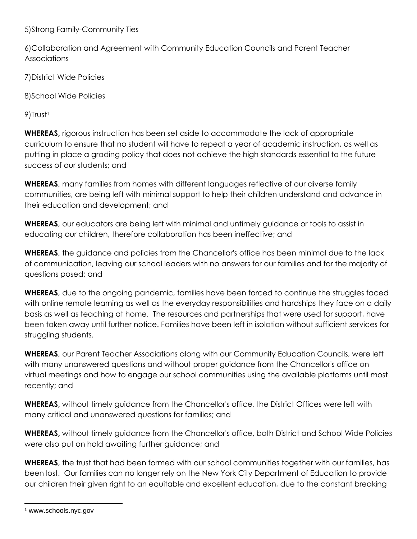5)Strong Family-Community Ties

6)Collaboration and Agreement with Community Education Councils and Parent Teacher Associations

7)District Wide Policies

8)School Wide Policies

9)Trust<sup>1</sup>

**WHEREAS,** rigorous instruction has been set aside to accommodate the lack of appropriate curriculum to ensure that no student will have to repeat a year of academic instruction, as well as putting in place a grading policy that does not achieve the high standards essential to the future success of our students; and

**WHEREAS,** many families from homes with different languages reflective of our diverse family communities, are being left with minimal support to help their children understand and advance in their education and development; and

**WHEREAS,** our educators are being left with minimal and untimely guidance or tools to assist in educating our children, therefore collaboration has been ineffective; and

**WHEREAS,** the guidance and policies from the Chancellor's office has been minimal due to the lack of communication, leaving our school leaders with no answers for our families and for the majority of questions posed; and

**WHEREAS,** due to the ongoing pandemic, families have been forced to continue the struggles faced with online remote learning as well as the everyday responsibilities and hardships they face on a daily basis as well as teaching at home. The resources and partnerships that were used for support, have been taken away until further notice. Families have been left in isolation without sufficient services for struggling students.

**WHEREAS,** our Parent Teacher Associations along with our Community Education Councils, were left with many unanswered questions and without proper guidance from the Chancellor's office on virtual meetings and how to engage our school communities using the available platforms until most recently; and

**WHEREAS,** without timely guidance from the Chancellor's office, the District Offices were left with many critical and unanswered questions for families; and

**WHEREAS,** without timely guidance from the Chancellor's office, both District and School Wide Policies were also put on hold awaiting further guidance; and

**WHEREAS,** the trust that had been formed with our school communities together with our families, has been lost. Our families can no longer rely on the New York City Department of Education to provide our children their given right to an equitable and excellent education, due to the constant breaking

<sup>1</sup> www.schools.nyc.gov